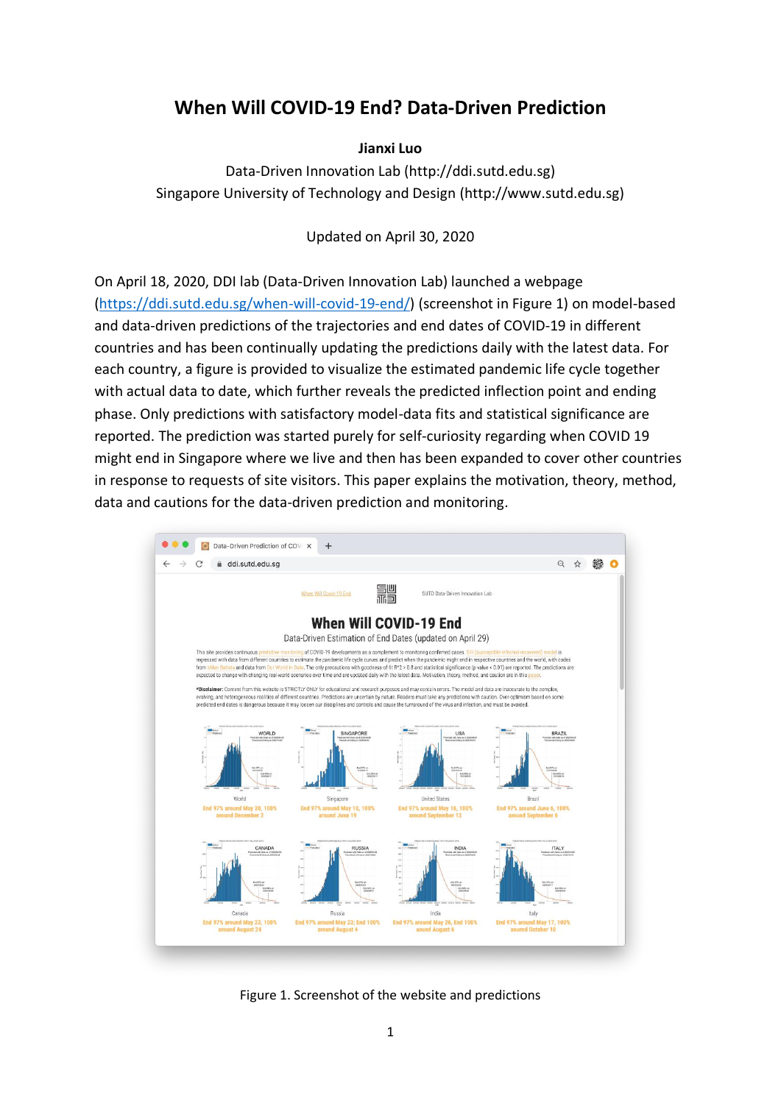# **When Will COVID-19 End? Data-Driven Prediction**

# **Jianxi Luo**

Data-Driven Innovation Lab (http://ddi.sutd.edu.sg) Singapore University of Technology and Design (http://www.sutd.edu.sg)

Updated on April 30, 2020

On April 18, 2020, DDI lab (Data-Driven Innovation Lab) launched a webpage [\(https://ddi.sutd.edu.sg/when-will-covid-19-end/\)](https://ddi.sutd.edu.sg/when-will-covid-19-end/) (screenshot in Figure 1) on model-based and data-driven predictions of the trajectories and end dates of COVID-19 in different countries and has been continually updating the predictions daily with the latest data. For each country, a figure is provided to visualize the estimated pandemic life cycle together with actual data to date, which further reveals the predicted inflection point and ending phase. Only predictions with satisfactory model-data fits and statistical significance are reported. The prediction was started purely for self-curiosity regarding when COVID 19 might end in Singapore where we live and then has been expanded to cover other countries in response to requests of site visitors. This paper explains the motivation, theory, method, data and cautions for the data-driven prediction and monitoring.



Figure 1. Screenshot of the website and predictions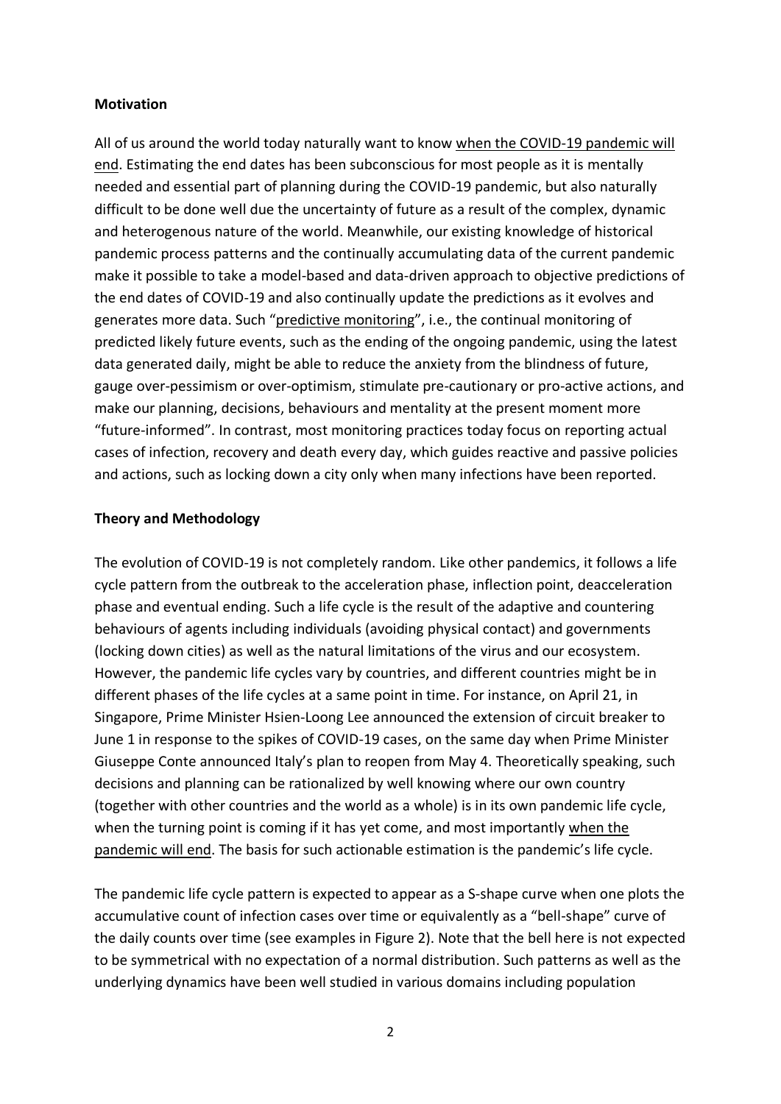# **Motivation**

All of us around the world today naturally want to know when the COVID-19 pandemic will end. Estimating the end dates has been subconscious for most people as it is mentally needed and essential part of planning during the COVID-19 pandemic, but also naturally difficult to be done well due the uncertainty of future as a result of the complex, dynamic and heterogenous nature of the world. Meanwhile, our existing knowledge of historical pandemic process patterns and the continually accumulating data of the current pandemic make it possible to take a model-based and data-driven approach to objective predictions of the end dates of COVID-19 and also continually update the predictions as it evolves and generates more data. Such "predictive monitoring", i.e., the continual monitoring of predicted likely future events, such as the ending of the ongoing pandemic, using the latest data generated daily, might be able to reduce the anxiety from the blindness of future, gauge over-pessimism or over-optimism, stimulate pre-cautionary or pro-active actions, and make our planning, decisions, behaviours and mentality at the present moment more "future-informed". In contrast, most monitoring practices today focus on reporting actual cases of infection, recovery and death every day, which guides reactive and passive policies and actions, such as locking down a city only when many infections have been reported.

#### **Theory and Methodology**

The evolution of COVID-19 is not completely random. Like other pandemics, it follows a life cycle pattern from the outbreak to the acceleration phase, inflection point, deacceleration phase and eventual ending. Such a life cycle is the result of the adaptive and countering behaviours of agents including individuals (avoiding physical contact) and governments (locking down cities) as well as the natural limitations of the virus and our ecosystem. However, the pandemic life cycles vary by countries, and different countries might be in different phases of the life cycles at a same point in time. For instance, on April 21, in Singapore, Prime Minister Hsien-Loong Lee announced the extension of circuit breaker to June 1 in response to the spikes of COVID-19 cases, on the same day when Prime Minister Giuseppe Conte announced Italy's plan to reopen from May 4. Theoretically speaking, such decisions and planning can be rationalized by well knowing where our own country (together with other countries and the world as a whole) is in its own pandemic life cycle, when the turning point is coming if it has yet come, and most importantly when the pandemic will end. The basis for such actionable estimation is the pandemic's life cycle.

The pandemic life cycle pattern is expected to appear as a S-shape curve when one plots the accumulative count of infection cases over time or equivalently as a "bell-shape" curve of the daily counts over time (see examples in Figure 2). Note that the bell here is not expected to be symmetrical with no expectation of a normal distribution. Such patterns as well as the underlying dynamics have been well studied in various domains including population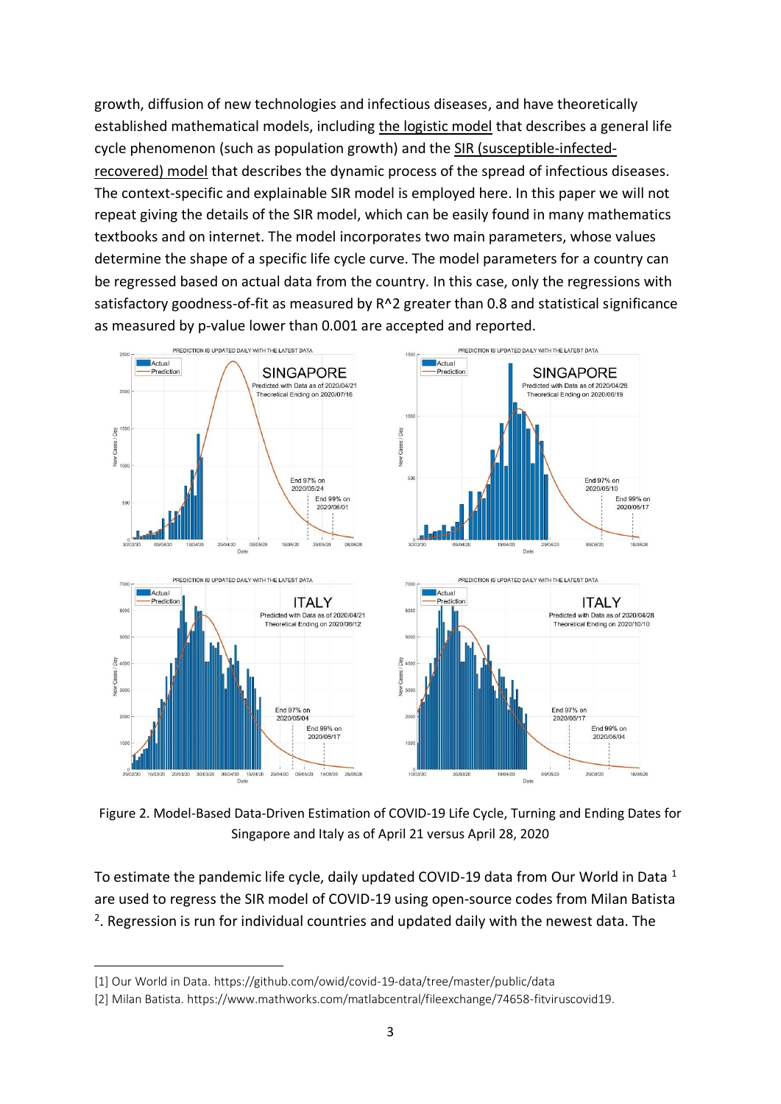growth, diffusion of new technologies and infectious diseases, and have theoretically established mathematical models, including the logistic model that describes a general life cycle phenomenon (such as population growth) and the SIR (susceptible-infectedrecovered) model that describes the dynamic process of the spread of infectious diseases. The context-specific and explainable SIR model is employed here. In this paper we will not repeat giving the details of the SIR model, which can be easily found in many mathematics textbooks and on internet. The model incorporates two main parameters, whose values determine the shape of a specific life cycle curve. The model parameters for a country can be regressed based on actual data from the country. In this case, only the regressions with satisfactory goodness-of-fit as measured by R^2 greater than 0.8 and statistical significance as measured by p-value lower than 0.001 are accepted and reported.



Figure 2. Model-Based Data-Driven Estimation of COVID-19 Life Cycle, Turning and Ending Dates for Singapore and Italy as of April 21 versus April 28, 2020

To estimate the pandemic life cycle, daily updated COVID-19 data from Our World in Data <sup>1</sup> are used to regress the SIR model of COVID-19 using open-source codes from Milan Batista <sup>2</sup>. Regression is run for individual countries and updated daily with the newest data. The

<sup>[1]</sup> Our World in Data.<https://github.com/owid/covid-19-data/tree/master/public/data>

<sup>[2]</sup> Milan Batista[. https://www.mathworks.com/matlabcentral/fileexchange/74658-fitviruscovid19.](https://www.mathworks.com/matlabcentral/fileexchange/74658-fitviruscovid19)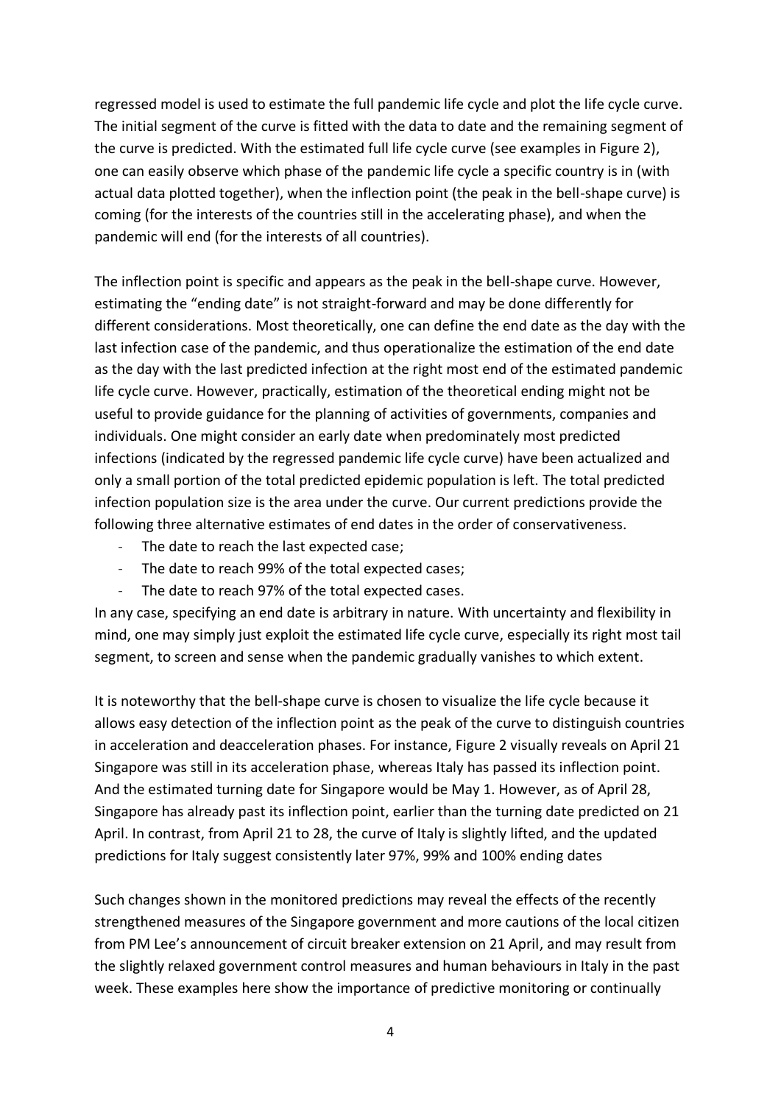regressed model is used to estimate the full pandemic life cycle and plot the life cycle curve. The initial segment of the curve is fitted with the data to date and the remaining segment of the curve is predicted. With the estimated full life cycle curve (see examples in Figure 2), one can easily observe which phase of the pandemic life cycle a specific country is in (with actual data plotted together), when the inflection point (the peak in the bell-shape curve) is coming (for the interests of the countries still in the accelerating phase), and when the pandemic will end (for the interests of all countries).

The inflection point is specific and appears as the peak in the bell-shape curve. However, estimating the "ending date" is not straight-forward and may be done differently for different considerations. Most theoretically, one can define the end date as the day with the last infection case of the pandemic, and thus operationalize the estimation of the end date as the day with the last predicted infection at the right most end of the estimated pandemic life cycle curve. However, practically, estimation of the theoretical ending might not be useful to provide guidance for the planning of activities of governments, companies and individuals. One might consider an early date when predominately most predicted infections (indicated by the regressed pandemic life cycle curve) have been actualized and only a small portion of the total predicted epidemic population is left. The total predicted infection population size is the area under the curve. Our current predictions provide the following three alternative estimates of end dates in the order of conservativeness.

- The date to reach the last expected case;
- The date to reach 99% of the total expected cases;
- The date to reach 97% of the total expected cases.

In any case, specifying an end date is arbitrary in nature. With uncertainty and flexibility in mind, one may simply just exploit the estimated life cycle curve, especially its right most tail segment, to screen and sense when the pandemic gradually vanishes to which extent.

It is noteworthy that the bell-shape curve is chosen to visualize the life cycle because it allows easy detection of the inflection point as the peak of the curve to distinguish countries in acceleration and deacceleration phases. For instance, Figure 2 visually reveals on April 21 Singapore was still in its acceleration phase, whereas Italy has passed its inflection point. And the estimated turning date for Singapore would be May 1. However, as of April 28, Singapore has already past its inflection point, earlier than the turning date predicted on 21 April. In contrast, from April 21 to 28, the curve of Italy is slightly lifted, and the updated predictions for Italy suggest consistently later 97%, 99% and 100% ending dates

Such changes shown in the monitored predictions may reveal the effects of the recently strengthened measures of the Singapore government and more cautions of the local citizen from PM Lee's announcement of circuit breaker extension on 21 April, and may result from the slightly relaxed government control measures and human behaviours in Italy in the past week. These examples here show the importance of predictive monitoring or continually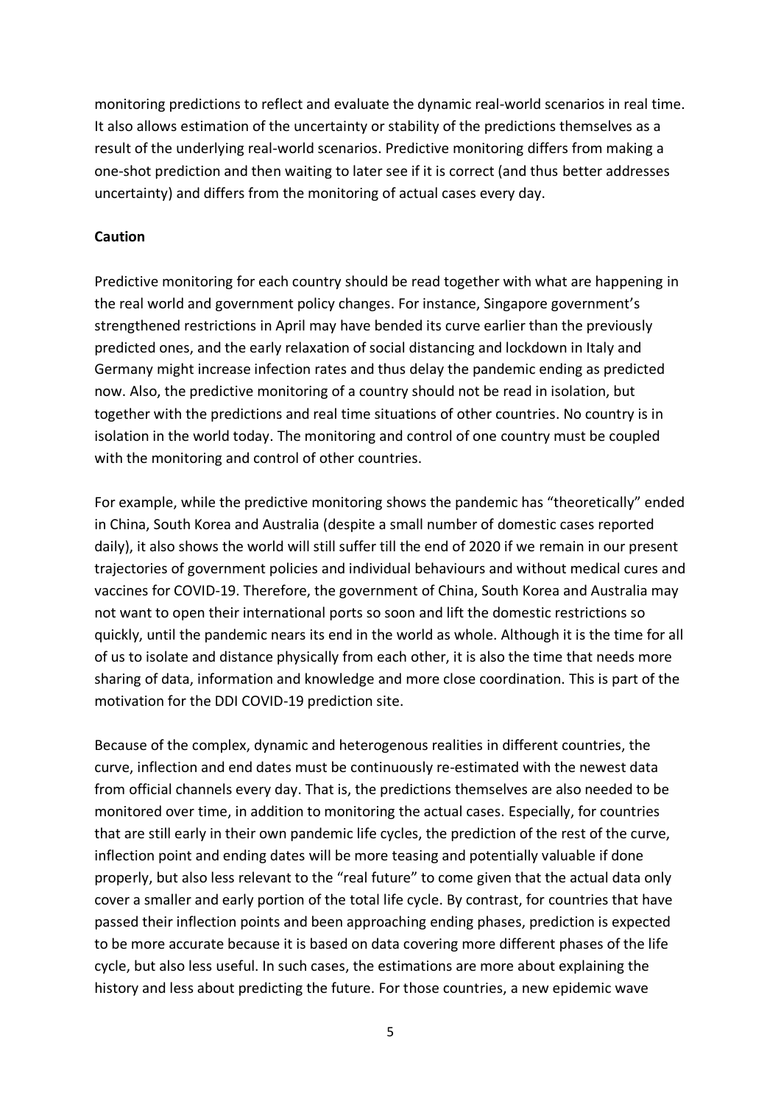monitoring predictions to reflect and evaluate the dynamic real-world scenarios in real time. It also allows estimation of the uncertainty or stability of the predictions themselves as a result of the underlying real-world scenarios. Predictive monitoring differs from making a one-shot prediction and then waiting to later see if it is correct (and thus better addresses uncertainty) and differs from the monitoring of actual cases every day.

# **Caution**

Predictive monitoring for each country should be read together with what are happening in the real world and government policy changes. For instance, Singapore government's strengthened restrictions in April may have bended its curve earlier than the previously predicted ones, and the early relaxation of social distancing and lockdown in Italy and Germany might increase infection rates and thus delay the pandemic ending as predicted now. Also, the predictive monitoring of a country should not be read in isolation, but together with the predictions and real time situations of other countries. No country is in isolation in the world today. The monitoring and control of one country must be coupled with the monitoring and control of other countries.

For example, while the predictive monitoring shows the pandemic has "theoretically" ended in China, South Korea and Australia (despite a small number of domestic cases reported daily), it also shows the world will still suffer till the end of 2020 if we remain in our present trajectories of government policies and individual behaviours and without medical cures and vaccines for COVID-19. Therefore, the government of China, South Korea and Australia may not want to open their international ports so soon and lift the domestic restrictions so quickly, until the pandemic nears its end in the world as whole. Although it is the time for all of us to isolate and distance physically from each other, it is also the time that needs more sharing of data, information and knowledge and more close coordination. This is part of the motivation for the DDI COVID-19 prediction site.

Because of the complex, dynamic and heterogenous realities in different countries, the curve, inflection and end dates must be continuously re-estimated with the newest data from official channels every day. That is, the predictions themselves are also needed to be monitored over time, in addition to monitoring the actual cases. Especially, for countries that are still early in their own pandemic life cycles, the prediction of the rest of the curve, inflection point and ending dates will be more teasing and potentially valuable if done properly, but also less relevant to the "real future" to come given that the actual data only cover a smaller and early portion of the total life cycle. By contrast, for countries that have passed their inflection points and been approaching ending phases, prediction is expected to be more accurate because it is based on data covering more different phases of the life cycle, but also less useful. In such cases, the estimations are more about explaining the history and less about predicting the future. For those countries, a new epidemic wave

5